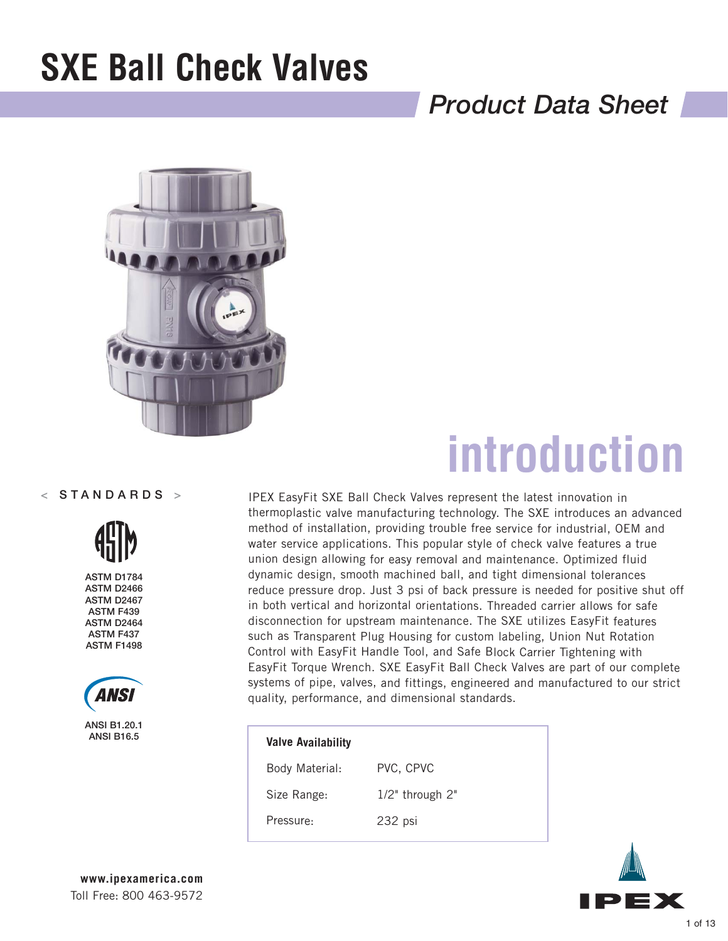## *Product Data Sheet*



### $<$  STANDARDS  $>$



ASTM D1784 ASTM D2466 ASTM D2467 ASTM F439 ASTM D2464 ASTM F437 ASTM F1498



ANSI B1.20.1

# **introduction**

IPEX EasyFit SXE Ball Check Valves represent the latest innovation in thermoplastic valve manufacturing technology. The SXE introduces an advanced method of installation, providing trouble free service for industrial, OEM and water service applications. This popular style of check valve features a true union design allowing for easy removal and maintenance. Optimized fluid dynamic design, smooth machined ball, and tight dimensional tolerances reduce pressure drop. Just 3 psi of back pressure is needed for positive shut off in both vertical and horizontal orientations. Threaded carrier allows for safe disconnection for upstream maintenance. The SXE utilizes EasyFit features such as Transparent Plug Housing for custom labeling, Union Nut Rotation Control with EasyFit Handle Tool, and Safe Block Carrier Tightening with EasyFit Torque Wrench. SXE EasyFit Ball Check Valves are part of our complete systems of pipe, valves, and fittings, engineered and manufactured to our strict quality, performance, and dimensional standards.

| 11 - 12 - 12 - 12 - 12 - 12<br>ANSI B16.5 | <b>Valve Availability</b> |                       |
|-------------------------------------------|---------------------------|-----------------------|
|                                           | Body Material:            | PVC, CPVC             |
|                                           | Size Range:               | $1/2$ " through $2$ " |
|                                           | Pressure:                 | 232 psi               |
|                                           |                           |                       |

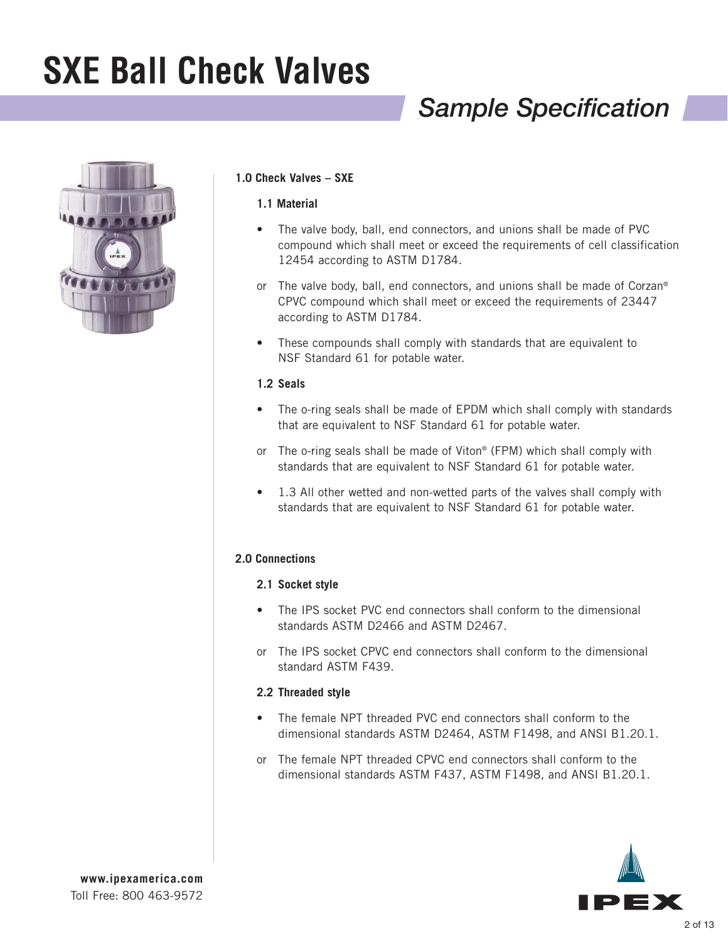## *Sample Specification*



### **1.0 Check Valves – SXE**

### **1.1 Material**

- The valve body, ball, end connectors, and unions shall be made of PVC compound which shall meet or exceed the requirements of cell classification 12454 according to ASTM D1784.
- or The valve body, ball, end connectors, and unions shall be made of Corzan® CPVC compound which shall meet or exceed the requirements of 23447 according to ASTM D1784.
- These compounds shall comply with standards that are equivalent to NSF Standard 61 for potable water.

#### **1.2 Seals**

- The o-ring seals shall be made of EPDM which shall comply with standards that are equivalent to NSF Standard 61 for potable water.
- or The o-ring seals shall be made of Viton® (FPM) which shall comply with standards that are equivalent to NSF Standard 61 for potable water.
- 1.3 All other wetted and non-wetted parts of the valves shall comply with standards that are equivalent to NSF Standard 61 for potable water.

### **2.0 Connections**

### **2.1 Socket style**

- The IPS socket PVC end connectors shall conform to the dimensional standards ASTM D2466 and ASTM D2467.
- or The IPS socket CPVC end connectors shall conform to the dimensional standard ASTM F439.

### **2.2 Threaded style**

- The female NPT threaded PVC end connectors shall conform to the dimensional standards ASTM D2464, ASTM F1498, and ANSI B1.20.1.
- or The female NPT threaded CPVC end connectors shall conform to the dimensional standards ASTM F437, ASTM F1498, and ANSI B1.20.1.

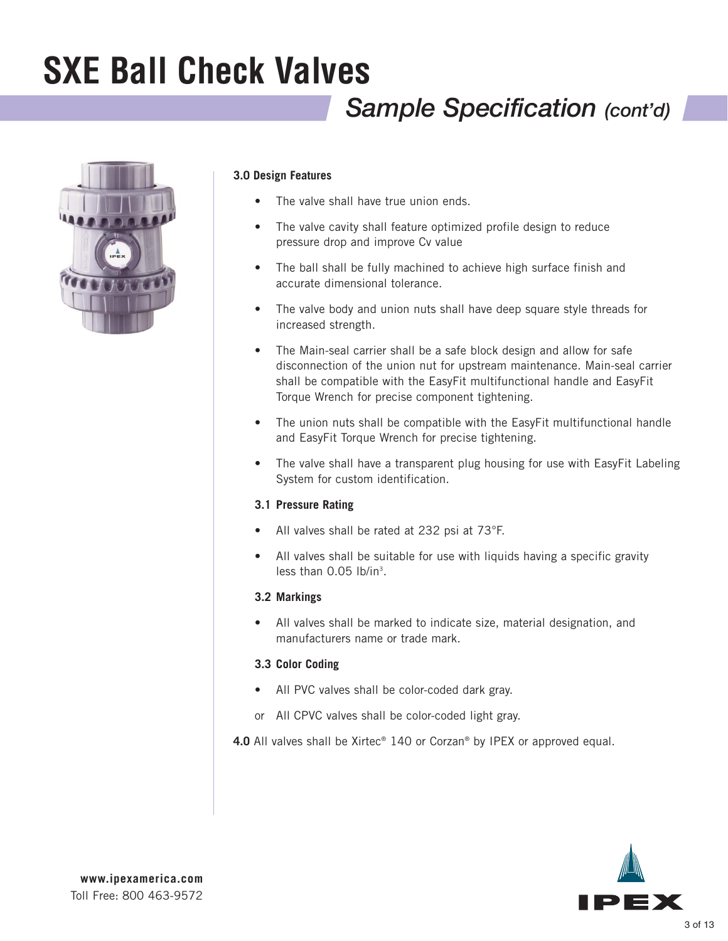## *Sample Specification (cont'd)*



### **3.0 Design Features**

- The valve shall have true union ends.
- The valve cavity shall feature optimized profile design to reduce pressure drop and improve Cv value
- The ball shall be fully machined to achieve high surface finish and accurate dimensional tolerance.
- The valve body and union nuts shall have deep square style threads for increased strength.
- The Main-seal carrier shall be a safe block design and allow for safe disconnection of the union nut for upstream maintenance. Main-seal carrier shall be compatible with the EasyFit multifunctional handle and EasyFit Torque Wrench for precise component tightening.
- The union nuts shall be compatible with the EasyFit multifunctional handle and EasyFit Torque Wrench for precise tightening.
- The valve shall have a transparent plug housing for use with EasyFit Labeling System for custom identification.

### **3.1 Pressure Rating**

- All valves shall be rated at 232 psi at 73°F.
- All valves shall be suitable for use with liquids having a specific gravity less than  $0.05$  lb/in<sup>3</sup>.

### **3.2 Markings**

• All valves shall be marked to indicate size, material designation, and manufacturers name or trade mark.

### **3.3 Color Coding**

- All PVC valves shall be color-coded dark gray.
- or All CPVC valves shall be color-coded light gray.

**4.0** All valves shall be Xirtec® 140 or Corzan® by IPEX or approved equal.

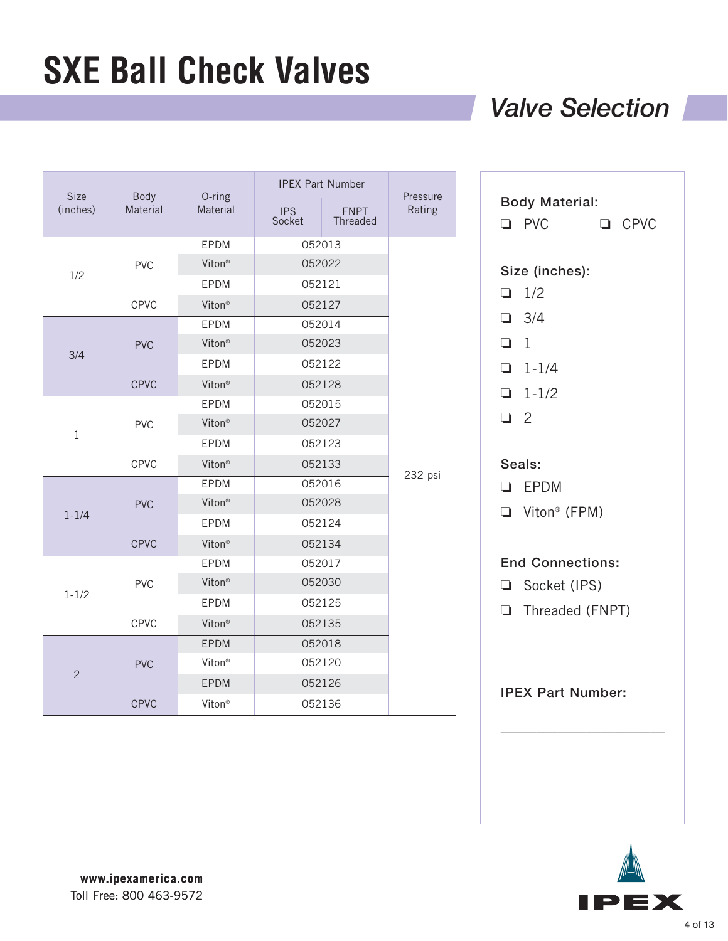### *Valve Selection*

| <b>Size</b><br>(inches) | <b>Body</b><br>Material | O-ring<br>Material | <b>IPS</b><br>Socket | <b>IPEX Part Number</b><br><b>FNPT</b><br><b>Threaded</b> | Pressure<br>Rating |
|-------------------------|-------------------------|--------------------|----------------------|-----------------------------------------------------------|--------------------|
|                         |                         | EPDM               |                      | 052013                                                    |                    |
| 1/2                     | <b>PVC</b>              | Viton <sup>®</sup> |                      | 052022                                                    |                    |
|                         |                         | EPDM               |                      | 052121                                                    |                    |
|                         | <b>CPVC</b>             | Viton <sup>®</sup> |                      | 052127                                                    |                    |
|                         |                         | EPDM               |                      | 052014                                                    |                    |
| 3/4                     | <b>PVC</b>              | Viton <sup>®</sup> |                      | 052023                                                    |                    |
|                         |                         | EPDM               |                      | 052122                                                    |                    |
|                         | <b>CPVC</b>             | Viton <sup>®</sup> |                      | 052128                                                    |                    |
|                         |                         | EPDM               |                      | 052015                                                    |                    |
|                         | <b>PVC</b>              | Viton <sup>®</sup> | 052027               |                                                           |                    |
| $\mathbf 1$             |                         | <b>EPDM</b>        | 052123               |                                                           |                    |
|                         | CPVC                    | Viton <sup>®</sup> | 052133               |                                                           |                    |
|                         |                         | <b>EPDM</b>        |                      | 052016                                                    | 232 psi            |
|                         | <b>PVC</b>              | Viton <sup>®</sup> |                      | 052028                                                    |                    |
| $1 - 1/4$               |                         | <b>EPDM</b>        |                      | 052124                                                    |                    |
|                         | <b>CPVC</b>             | Viton <sup>®</sup> |                      | 052134                                                    |                    |
|                         |                         |                    |                      | 052017                                                    |                    |
|                         | <b>PVC</b>              | Viton <sup>®</sup> | 052030               |                                                           |                    |
| $1 - 1/2$               |                         | <b>EPDM</b>        |                      | 052125                                                    |                    |
|                         | CPVC                    | Viton <sup>®</sup> |                      | 052135                                                    |                    |
|                         | <b>PVC</b>              | EPDM               |                      | 052018                                                    |                    |
|                         |                         | Viton <sup>®</sup> |                      | 052120                                                    |                    |
| $\overline{c}$          |                         | EPDM               |                      | 052126                                                    |                    |
|                         | <b>CPVC</b>             | Viton <sup>®</sup> |                      | 052136                                                    |                    |

| Size (inches): |                                                                         |                                                                                                               |
|----------------|-------------------------------------------------------------------------|---------------------------------------------------------------------------------------------------------------|
|                |                                                                         |                                                                                                               |
| $\Box$ 1/2     |                                                                         |                                                                                                               |
| $\Box$ 3/4     |                                                                         |                                                                                                               |
|                |                                                                         |                                                                                                               |
|                |                                                                         |                                                                                                               |
|                |                                                                         |                                                                                                               |
|                |                                                                         |                                                                                                               |
|                |                                                                         |                                                                                                               |
|                |                                                                         |                                                                                                               |
|                |                                                                         |                                                                                                               |
|                |                                                                         |                                                                                                               |
|                |                                                                         |                                                                                                               |
|                |                                                                         |                                                                                                               |
|                |                                                                         |                                                                                                               |
|                | $\Box$ 1<br>$1 - 1/4$<br>$1-1/2$<br>$\Box$ 2<br>Seals:<br><b>Q</b> EPDM | $\Box$ Viton® (FPM)<br><b>End Connections:</b><br>Socket (IPS)<br>Threaded (FNPT)<br><b>IPEX Part Number:</b> |

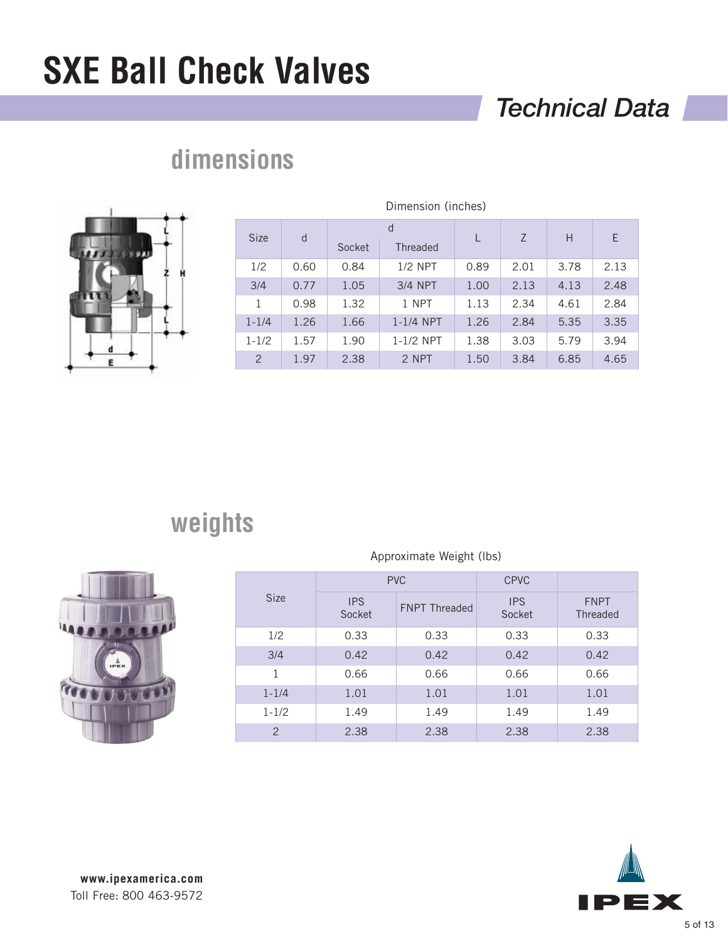## *Technical Data*



## **dimensions**

| Dimension (inches) |      |                                |             |      |                |      |      |
|--------------------|------|--------------------------------|-------------|------|----------------|------|------|
| <b>Size</b>        | d    | d<br>Socket<br><b>Threaded</b> |             | L    | $\overline{7}$ | H    | E    |
| 1/2                | 0.60 | 0.84                           | $1/2$ NPT   | 0.89 | 2.01           | 3.78 | 2.13 |
| 3/4                | 0.77 | 1.05                           | 3/4 NPT     | 1.00 | 2.13           | 4.13 | 2.48 |
| 1                  | 0.98 | 1.32                           | 1 NPT       | 1.13 | 2.34           | 4.61 | 2.84 |
| $1 - 1/4$          | 1.26 | 1.66                           | $1-1/4$ NPT | 1.26 | 2.84           | 5.35 | 3.35 |
| $1 - 1/2$          | 1.57 | 1.90                           | $1-1/2$ NPT | 1.38 | 3.03           | 5.79 | 3.94 |
| $\overline{2}$     | 1.97 | 2.38                           | 2 NPT       | 1.50 | 3.84           | 6.85 | 4.65 |

## **weights**

|               | <b>PVC</b>           |                      | <b>CPVC</b>          |                         |
|---------------|----------------------|----------------------|----------------------|-------------------------|
| <b>Size</b>   | <b>IPS</b><br>Socket | <b>FNPT Threaded</b> | <b>IPS</b><br>Socket | <b>FNPT</b><br>Threaded |
| 1/2           | 0.33                 | 0.33                 | 0.33                 | 0.33                    |
| 3/4           | 0.42                 | 0.42                 | 0.42                 | 0.42                    |
| 1             | 0.66                 | 0.66                 | 0.66                 | 0.66                    |
| $1 - 1/4$     | 1.01                 | 1.01                 | 1.01                 | 1.01                    |
| $1 - 1/2$     | 1.49                 | 1.49                 | 1.49                 | 1.49                    |
| $\mathcal{P}$ | 2.38                 | 2.38                 | 2.38                 | 2.38                    |

Approximate Weight (lbs)

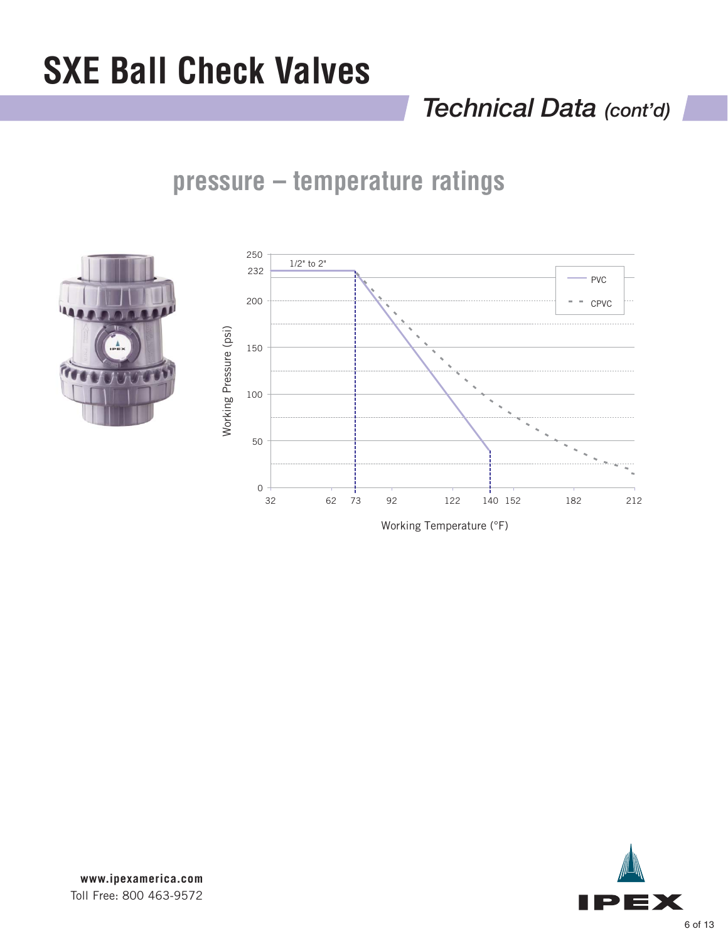## *Technical Data (cont'd)*

### **pressure – temperature ratings**





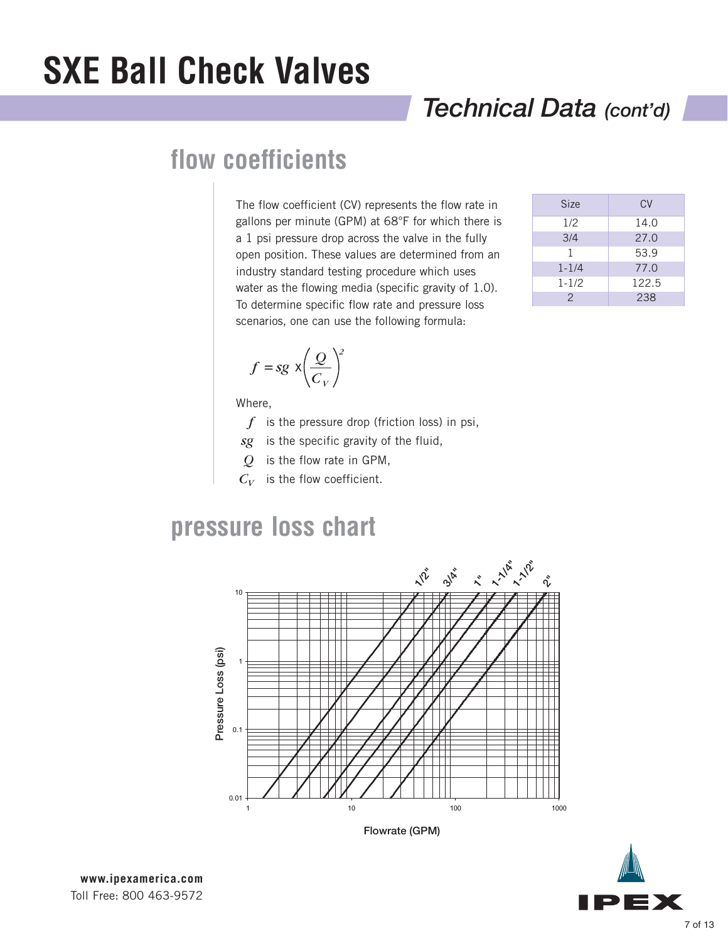## *Technical Data (cont'd)*

### **flow coefficients**

The flow coefficient (CV) represents the flow rate in gallons per minute (GPM) at 68°F for which there is a 1 psi pressure drop across the valve in the fully open position. These values are determined from an industry standard testing procedure which uses water as the flowing media (specific gravity of 1.0). To determine specific flow rate and pressure loss scenarios, one can use the following formula:

| <b>Size</b>   | <b>CV</b> |
|---------------|-----------|
| 1/2           | 14.0      |
| 3/4           | 27.0      |
| 1             | 53.9      |
| $1 - 1/4$     | 77.0      |
| $1 - 1/2$     | 122.5     |
| $\mathcal{P}$ | 238       |

$$
f = sg \times \left(\frac{Q}{C_V}\right)^2
$$

Where,

- *f* is the pressure drop (friction loss) in psi,
- *sg* is the specific gravity of the fluid,
- *Q* is the flow rate in GPM,
- $C_V$  is the flow coefficient.

### **pressure loss chart**



Flowrate (GPM)

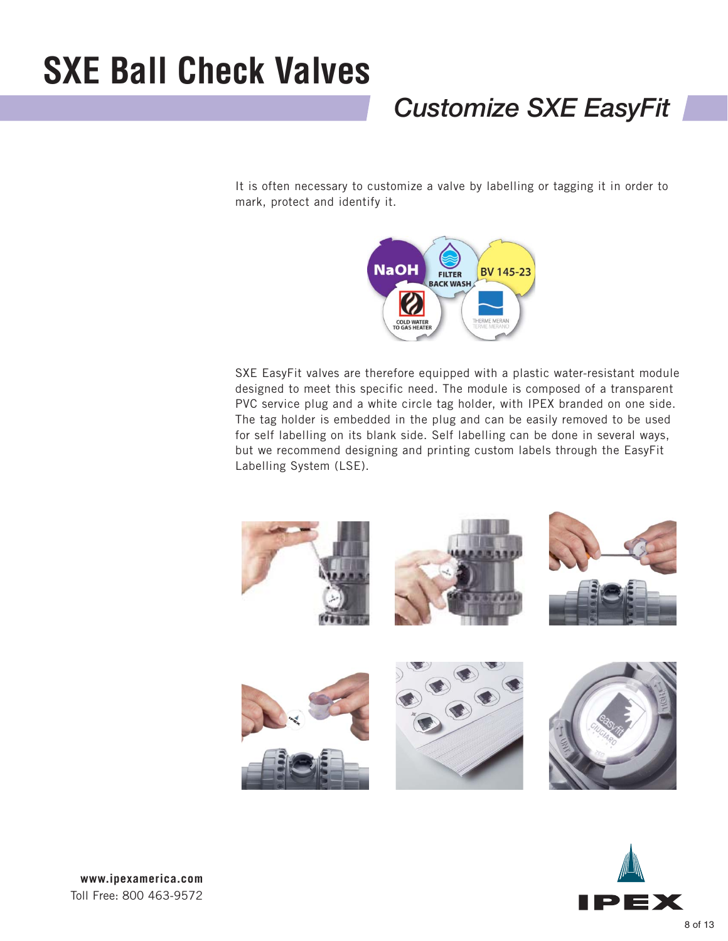## *Customize SXE EasyFit*

It is often necessary to customize a valve by labelling or tagging it in order to mark, protect and identify it.



SXE EasyFit valves are therefore equipped with a plastic water-resistant module designed to meet this specific need. The module is composed of a transparent PVC service plug and a white circle tag holder, with IPEX branded on one side. The tag holder is embedded in the plug and can be easily removed to be used for self labelling on its blank side. Self labelling can be done in several ways, but we recommend designing and printing custom labels through the EasyFit Labelling System (LSE).



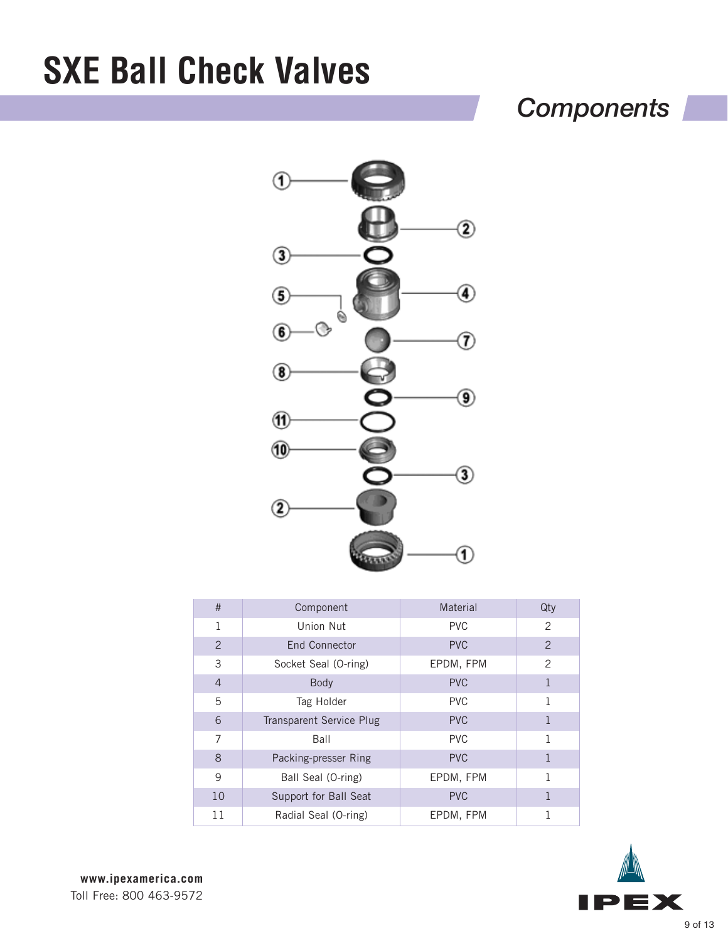## *Components*



| #              | Component                       | Material   | Qty            |
|----------------|---------------------------------|------------|----------------|
| 1              | Union Nut                       | <b>PVC</b> | 2              |
| 2              | End Connector                   | <b>PVC</b> | $\overline{2}$ |
| 3              | Socket Seal (O-ring)            | EPDM, FPM  | $\overline{2}$ |
| $\overline{4}$ | <b>Body</b>                     | <b>PVC</b> | 1              |
| 5              | Tag Holder                      | <b>PVC</b> | 1              |
| 6              | <b>Transparent Service Plug</b> | <b>PVC</b> | 1              |
| 7              | Ball                            | <b>PVC</b> | 1              |
| 8              | Packing-presser Ring            | <b>PVC</b> | $\mathbf{1}$   |
| 9              | Ball Seal (O-ring)              | EPDM, FPM  | 1              |
| 10             | Support for Ball Seat           | <b>PVC</b> | 1              |
| 11             | Radial Seal (O-ring)            | EPDM, FPM  |                |

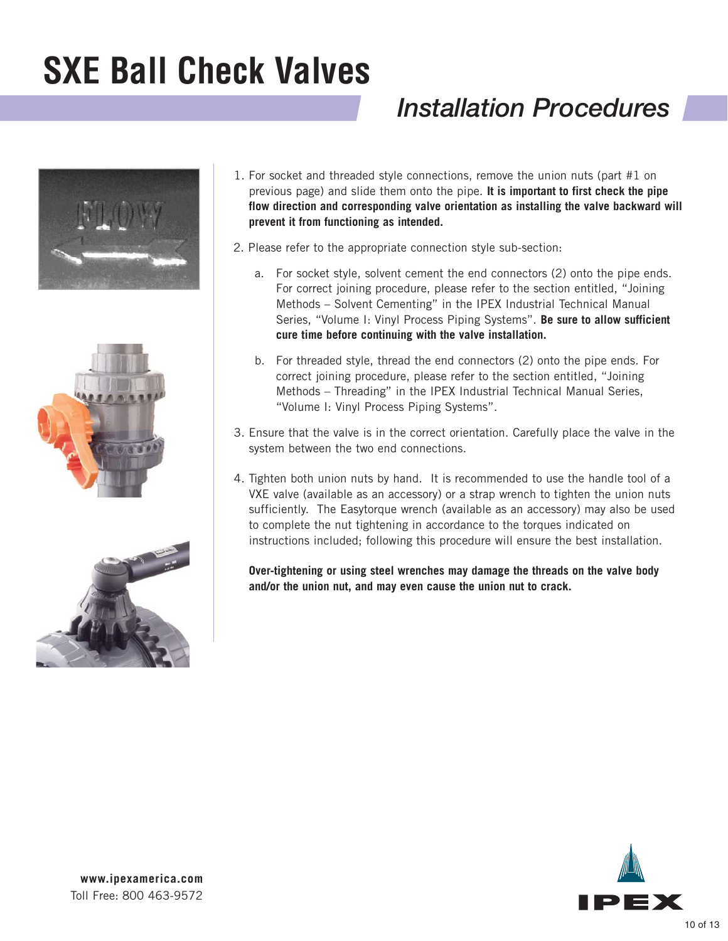## *Installation Procedures*







- 1. For socket and threaded style connections, remove the union nuts (part #1 on previous page) and slide them onto the pipe. **It is important to first check the pipe flow direction and corresponding valve orientation as installing the valve backward will prevent it from functioning as intended.**
- 2. Please refer to the appropriate connection style sub-section:
	- a. For socket style, solvent cement the end connectors (2) onto the pipe ends. For correct joining procedure, please refer to the section entitled, "Joining Methods – Solvent Cementing" in the IPEX Industrial Technical Manual Series, "Volume I: Vinyl Process Piping Systems". **Be sure to allow sufficient cure time before continuing with the valve installation.**
	- b. For threaded style, thread the end connectors (2) onto the pipe ends. For correct joining procedure, please refer to the section entitled, "Joining Methods – Threading" in the IPEX Industrial Technical Manual Series, "Volume I: Vinyl Process Piping Systems".
- 3. Ensure that the valve is in the correct orientation. Carefully place the valve in the system between the two end connections.
- 4. Tighten both union nuts by hand. It is recommended to use the handle tool of a VXE valve (available as an accessory) or a strap wrench to tighten the union nuts sufficiently. The Easytorque wrench (available as an accessory) may also be used to complete the nut tightening in accordance to the torques indicated on instructions included; following this procedure will ensure the best installation.

**Over-tightening or using steel wrenches may damage the threads on the valve body and/or the union nut, and may even cause the union nut to crack.**

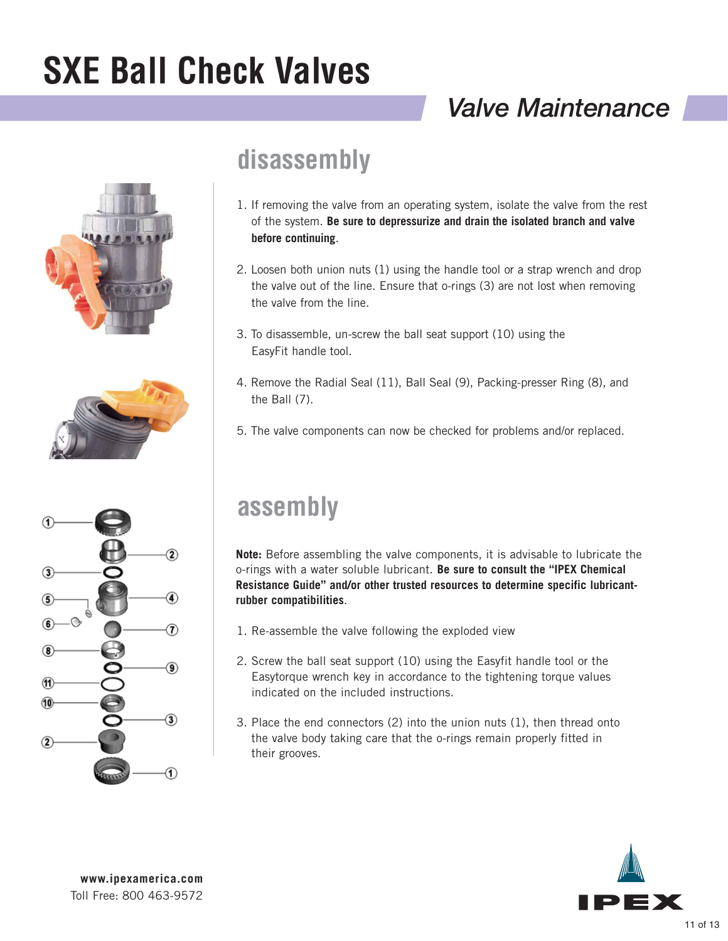## *Valve Maintenance*







### **disassembly**

- 1. If removing the valve from an operating system, isolate the valve from the rest of the system. **Be sure to depressurize and drain the isolated branch and valve before continuing**.
- 2. Loosen both union nuts (1) using the handle tool or a strap wrench and drop the valve out of the line. Ensure that o-rings (3) are not lost when removing the valve from the line.
- 3. To disassemble, un-screw the ball seat support (10) using the EasyFit handle tool.
- 4. Remove the Radial Seal (11), Ball Seal (9), Packing-presser Ring (8), and the Ball (7).
- 5. The valve components can now be checked for problems and/or replaced.

## **assembly**

**Note:** Before assembling the valve components, it is advisable to lubricate the o-rings with a water soluble lubricant. **Be sure to consult the "IPEX Chemical Resistance Guide" and/or other trusted resources to determine specific lubricantrubber compatibilities**.

- 1. Re-assemble the valve following the exploded view
- 2. Screw the ball seat support (10) using the Easyfit handle tool or the Easytorque wrench key in accordance to the tightening torque values indicated on the included instructions.
- 3. Place the end connectors (2) into the union nuts (1), then thread onto the valve body taking care that the o-rings remain properly fitted in their grooves.

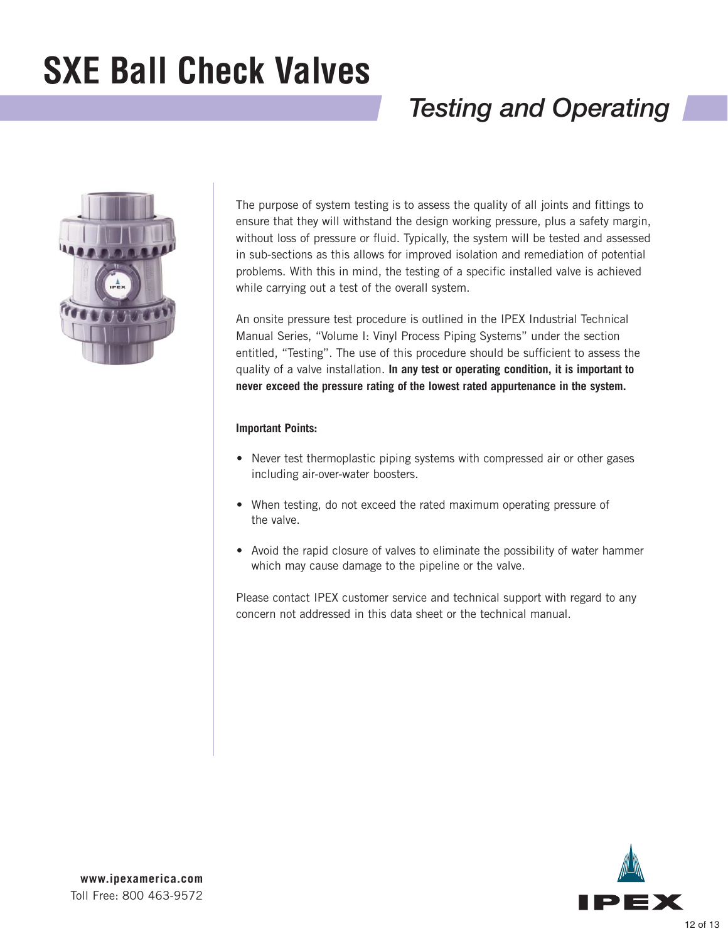## *Testing and Operating*



The purpose of system testing is to assess the quality of all joints and fittings to ensure that they will withstand the design working pressure, plus a safety margin, without loss of pressure or fluid. Typically, the system will be tested and assessed in sub-sections as this allows for improved isolation and remediation of potential problems. With this in mind, the testing of a specific installed valve is achieved while carrying out a test of the overall system.

An onsite pressure test procedure is outlined in the IPEX Industrial Technical Manual Series, "Volume I: Vinyl Process Piping Systems" under the section entitled, "Testing". The use of this procedure should be sufficient to assess the quality of a valve installation. **In any test or operating condition, it is important to never exceed the pressure rating of the lowest rated appurtenance in the system.**

### **Important Points:**

- Never test thermoplastic piping systems with compressed air or other gases including air-over-water boosters.
- When testing, do not exceed the rated maximum operating pressure of the valve.
- Avoid the rapid closure of valves to eliminate the possibility of water hammer which may cause damage to the pipeline or the valve.

Please contact IPEX customer service and technical support with regard to any concern not addressed in this data sheet or the technical manual.